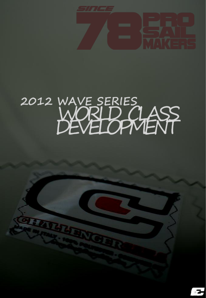

## 2012 WAVE SERIES<br>WORLD CLASS

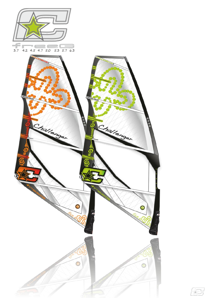



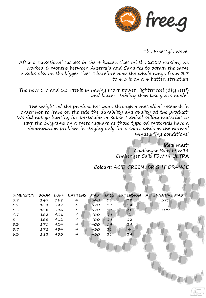

The Freestyle wave!

After a sensational success in the 4 batten sizes od the 2010 version, we worked 6 months between Australia and Canaries to obtain the same results also on the bigger sizes. Therefore now the whole range from 3.7 to 6.3 is on a 4 batten structure

The new 5.7 and 6.3 result in having more power, lighter feel (1kg less!) and better stability then last years model.

The weight od the product has gone through a metodical research in order not to leave on the side the durability and quality od the product: We did not go hunting for particular or super tecnical sailing materials to save the 30grams on a meter square as those type od materials have a delamination problem in staying only for a short while in the normal windsurfing conditions!

> **Ideal mast:**  Challenger Sails FSW99 Challenger Sails FSW99 ULTRA

**Colours:** ACID GREEN, BRIGHT ORANGE

| <b>DIMENSION</b> | BOOM |     | LUFF BATTENS MAST |     |    |                | IMCS EXTENSION ALTERNATIVE MAST |  |
|------------------|------|-----|-------------------|-----|----|----------------|---------------------------------|--|
| 3.7              | 147  | 368 | $\overline{4}$    | 340 | 16 | 28             | 370                             |  |
| 4.2              | 154  | 387 | $\overline{4}$    | 370 | 17 | 18             |                                 |  |
| 4.5              | 158  | 396 | $\overline{4}$    | 370 | 17 | 26             | 400                             |  |
| 4.7              | 162  | 401 | 4                 | 400 | 19 | $\overline{2}$ |                                 |  |
| $5^{\circ}$      | 166  | 412 | 4                 | 400 | 19 | 12             |                                 |  |
| 5.3              | 171  | 424 | $\overline{4}$    | 400 | 19 | 24             |                                 |  |
| 5.7              | 178  | 434 | $\overline{4}$    | 430 | 21 | $\overline{4}$ |                                 |  |
| 6.3              | 182  | 453 | 4                 | 430 | 21 | 24             |                                 |  |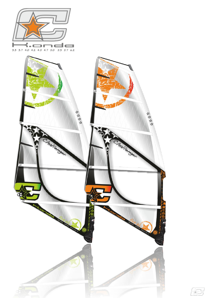



<u>fts</u>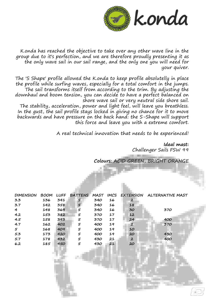

K.onda has reached the objective to take over any other wave line in the group due to it's perfection, and we are therefore proudly presenting it as the only wave sail in our sail range, and the only one you will need for your quiver.

The 'S Shape' profile allowed the K.onda to keep profile absolutelly in place the profile while surfing waves, especially for a total comfort in the jumps. The sail transforms itself from according to the trim. By adjusting the downhaul and boom tension, you can decide to have a perfect balanced on shore wave sail or very neutral side shore sail.

The stability, acceleration, power and light feel, will leave you breathless. In the gust, the sail profile stays locked in giving no chance for it to move backwards and have pressure on the back hand: the S-Shape will support this force and leave you with a extreme comfort.

A real technical innovation that needs to be experienced!

**Ideal mast:** Challenger Sails FSW 99

**Colours:** ACID GREEN, BRIGHT ORANGE

| <b>DIMENSION</b> | <b>BOOM</b> | <b>LUFF</b> | BATTENS | MAST |    |              | IMCS EXTENSION ALTERNATIVE MAST |
|------------------|-------------|-------------|---------|------|----|--------------|---------------------------------|
| 3.3              | 136         | 341         | 5       | 340  | 16 | 2            |                                 |
| 3.7              | 142         | 358         | 5       | 340  | 16 | 18           |                                 |
| $\overline{4}$   | 148         | 369         | 5       | 340  | 16 | 30           | 370                             |
| 4.2              | 153         | 382         | 5       | 370  | 17 | 12           |                                 |
| 4.5              | 158         | 393         | 5       | 370  | 17 | 24           | 400                             |
| 4.7              | 162         | 402         | 5       | 400  | 19 | 2            | 370                             |
| 5                | 168         | 409         | 5       | 400  | 19 | 10           |                                 |
| 5.3              | 173         | 420         | 5       | 400  | 19 | 20           | 430                             |
| 5.7              | 178         | 432         | 5       | 430  | 21 | $\mathbf{2}$ | 400                             |
| 6.2              | 185         | 450         | 5       | 430  | 21 | 20           |                                 |
|                  |             |             |         |      |    |              |                                 |